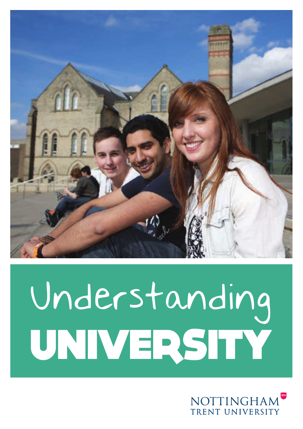

## UNIVERSITY Understanding

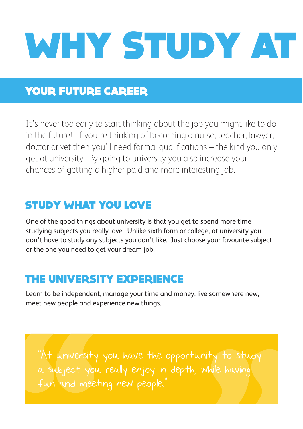

#### YOUR FUTURE CAREER

It's never too early to start thinking about the job you might like to do in the future! If you're thinking of becoming a nurse, teacher, lawyer, doctor or vet then you'll need formal qualifications – the kind you only get at university. By going to university you also increase your chances of getting a higher paid and more interesting job.

#### STUDY WHAT YOU LOVE

One of the good things about university is that you get to spend more time studying subjects you really love. Unlike sixth form or college, at university you don't have to study any subjects you don't like. Just choose your favourite subject or the one you need to get your dream job.

#### THE UNIVERSITY EXPERIENCE

Learn to be independent, manage your time and money, live somewhere new, meet new people and experience new things.

"At university you have the opportunity to study a subject you really enjoy in depth, while having fun and meeting new people.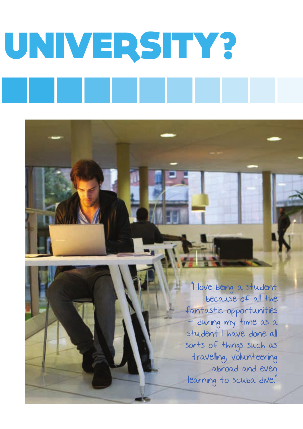# UNIVERSITY?

"I love being a student because of all the fantastic opportunities - during my time as a student I have done all sorts of things such as travelling, volunteering abroad and even learning to scuba dive."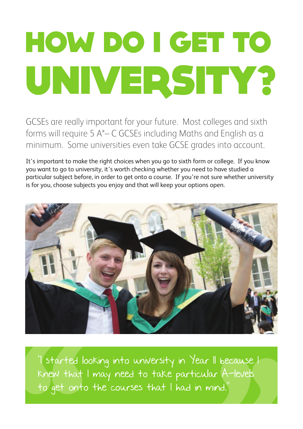### HOW DO I GET TO UNIVERSITY?

GCSEs are really important for your future. Most colleges and sixth forms will require 5 A\*– C GCSEs including Maths and English as a minimum. Some universities even take GCSE grades into account.

It's important to make the right choices when you go to sixth form or college. If you know you want to go to university, it's worth checking whether you need to have studied a particular subject before, in order to get onto a course. If you're not sure whether university is for you, choose subjects you enjoy and that will keep your options open.



"I started looking into university in Year II because I knew that I may need to take particular A-levels to get onto the courses that I had in mind."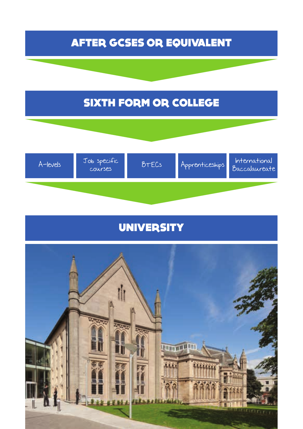#### AFTER GCSES OR EQUIVALENT

#### SIXTH FORM OR COLLEGE



#### UNIVERSITY

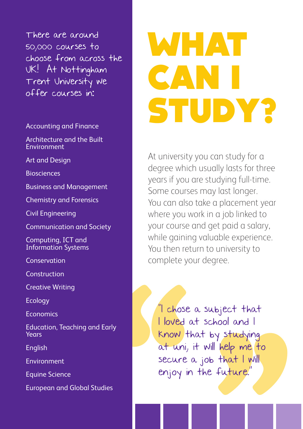There are around 50,000 courses to choose from across the UK! At Nottingham Trent University we offer courses in:

Accounting and Finance

Architecture and the Built Environment

Art and Design

**Biosciences** 

Business and Management

Chemistry and Forensics

Civil Engineering

Communication and Society

Computing, ICT and Information Systems

Conservation

**Construction** 

Creative Writing

Ecology

Economics

Education, Teaching and Early **Years** 

English

Environment

Equine Science

European and Global Studies

### WHAT CAN I STUDY?

At university you can study for a degree which usually lasts for three years if you are studying full-time. Some courses may last longer. You can also take a placement year where you work in a job linked to your course and get paid a salary, while gaining valuable experience. You then return to university to complete your degree.

"I chose a subject that I loved at school and I know that by studying at uni, it will help me to secure a job that I will enjoy in the future."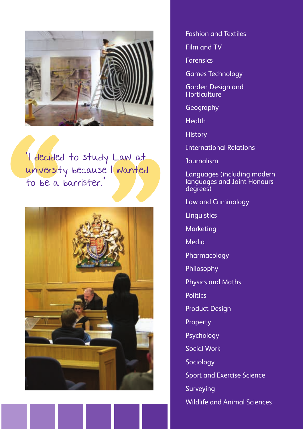

"I decided to study Law at university because I wanted to be a barrister."



Fashion and Textiles

Film and TV

**Forensics** 

Games Technology

Garden Design and **Horticulture** 

Geography

**Health** 

**History** 

International Relations

Journalism

Languages (including modern languages and Joint Honours degrees)

Law and Criminology

**Linguistics** 

Marketing

Media

Pharmacology

Philosophy

Physics and Maths

**Politics** 

Product Design

Property

Psychology

Social Work

Sociology

Sport and Exercise Science

Surveying

Wildlife and Animal Sciences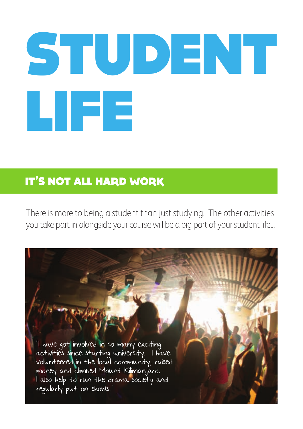## STUDENT LIFE

#### IT**'**S NOT ALL HARD WORK

There is more to being a student than just studying. The other activities you take part in alongside your course will be a big part of your student life...

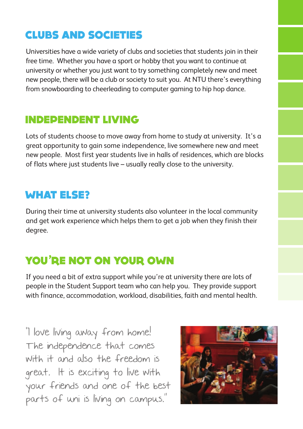#### CLUBS AND SOCIETIES

Universities have a wide variety of clubs and societies that students join in their free time. Whether you have a sport or hobby that you want to continue at university or whether you just want to try something completely new and meet new people, there will be a club or society to suit you. At NTU there's everything from snowboarding to cheerleading to computer gaming to hip hop dance.

#### INDEDENDENT LIVING

Lots of students choose to move away from home to study at university. It's a great opportunity to gain some independence, live somewhere new and meet new people. Most first year students live in halls of residences, which are blocks of flats where just students live – usually really close to the university.

#### WHAT ELSE?

During their time at university students also volunteer in the local community and get work experience which helps them to get a job when they finish their degree.

#### YOU**'**RE NOT ON YOUR OWN

If you need a bit of extra support while you're at university there are lots of people in the Student Support team who can help you. They provide support with finance, accommodation, workload, disabilities, faith and mental health.

"I love living away from home! The independence that comes with it and also the freedom is great. It is exciting to live with your friends and one of the best parts of uni is living on campus."

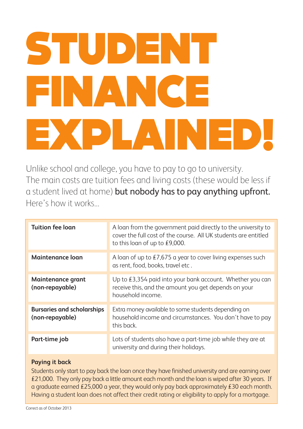## STUDENT NANC EXPLAINED!

Unlike school and college, you have to pay to go to university. The main costs are tuition fees and living costs (these would be less if a student lived at home) but nobody has to pay anything upfront. Here's how it works...

| <b>Tuition fee loan</b>                              | A loan from the government paid directly to the university to<br>cover the full cost of the course. All UK students are entitled<br>to this loan of up to £9,000. |
|------------------------------------------------------|-------------------------------------------------------------------------------------------------------------------------------------------------------------------|
| Maintenance loan                                     | A loan of up to $£7,675$ a year to cover living expenses such<br>as rent, food, books, travel etc.                                                                |
| Maintenance grant<br>(non-repayable)                 | Up to $£3,354$ paid into your bank account. Whether you can<br>receive this, and the amount you get depends on your<br>household income.                          |
| <b>Bursaries and scholarships</b><br>(non-repayable) | Extra money available to some students depending on<br>household income and circumstances. You don't have to pay<br>this back.                                    |
| Part-time job                                        | Lots of students also have a part-time job while they are at<br>university and during their holidays.                                                             |

#### **Paying it back**

Students only start to pay back the loan once they have finished university and are earning over £21,000. They only pay back a little amount each month and the loan is wiped after 30 years. If a graduate earned £25,000 a year, they would only pay back approximately £30 each month. Having a student loan does not affect their credit rating or eligibility to apply for a mortgage.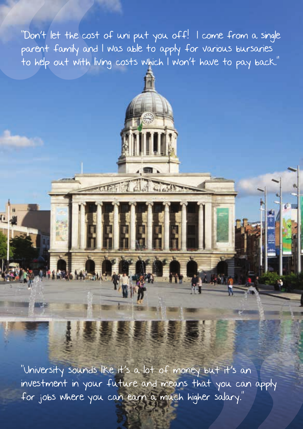"Don't let the cost of uni put you off! I come from a single parent family and I was able to apply for various bursaries to help out with living costs which I won't have to pay back."

"University sounds like it's a lot of money but it's an investment in your future and means that you can apply for jobs where you can earn a much higher salary."